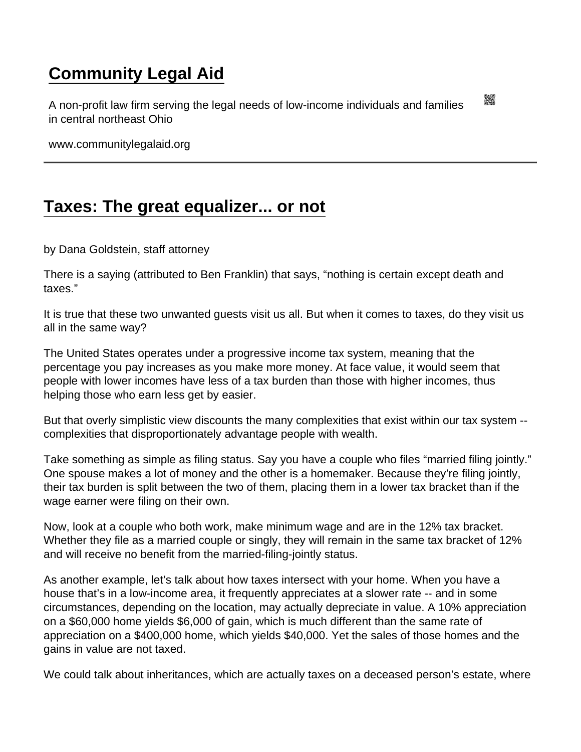## [Community Legal Aid](https://www.communitylegalaid.org/)

A non-profit law firm serving the legal needs of low-income individuals and families in central northeast Ohio

www.communitylegalaid.org

## [Taxes: The great equalizer... or not](https://www.communitylegalaid.org/node/1656/taxes-great-equalizer-or-not)

by Dana Goldstein, staff attorney

There is a saying (attributed to Ben Franklin) that says, "nothing is certain except death and taxes."

It is true that these two unwanted guests visit us all. But when it comes to taxes, do they visit us all in the same way?

The United States operates under a progressive income tax system, meaning that the percentage you pay increases as you make more money. At face value, it would seem that people with lower incomes have less of a tax burden than those with higher incomes, thus helping those who earn less get by easier.

But that overly simplistic view discounts the many complexities that exist within our tax system - complexities that disproportionately advantage people with wealth.

Take something as simple as filing status. Say you have a couple who files "married filing jointly." One spouse makes a lot of money and the other is a homemaker. Because they're filing jointly, their tax burden is split between the two of them, placing them in a lower tax bracket than if the wage earner were filing on their own.

Now, look at a couple who both work, make minimum wage and are in the 12% tax bracket. Whether they file as a married couple or singly, they will remain in the same tax bracket of 12% and will receive no benefit from the married-filing-jointly status.

As another example, let's talk about how taxes intersect with your home. When you have a house that's in a low-income area, it frequently appreciates at a slower rate -- and in some circumstances, depending on the location, may actually depreciate in value. A 10% appreciation on a \$60,000 home yields \$6,000 of gain, which is much different than the same rate of appreciation on a \$400,000 home, which yields \$40,000. Yet the sales of those homes and the gains in value are not taxed.

We could talk about inheritances, which are actually taxes on a deceased person's estate, where